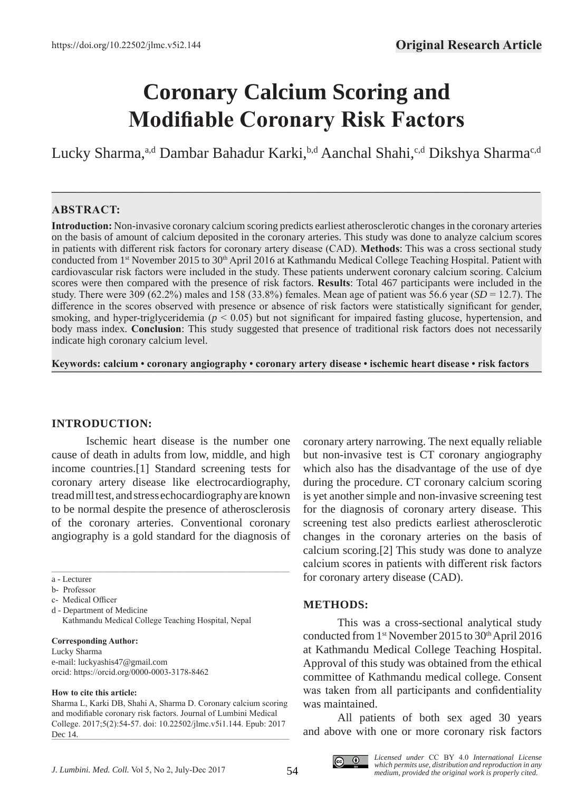# **Coronary Calcium Scoring and Modifiable Coronary Risk Factors**

Lucky Sharma,<sup>a,d</sup> Dambar Bahadur Karki,<sup>b,d</sup> Aanchal Shahi,<sup>c,d</sup> Dikshya Sharma<sup>c,d</sup>

**—–—————————————————————————————————————————————**

# **ABSTRACT:**

**Introduction:** Non-invasive coronary calcium scoring predicts earliest atherosclerotic changes in the coronary arteries on the basis of amount of calcium deposited in the coronary arteries. This study was done to analyze calcium scores in patients with different risk factors for coronary artery disease (CAD). **Methods**: This was a cross sectional study conducted from 1<sup>st</sup> November 2015 to 30<sup>th</sup> April 2016 at Kathmandu Medical College Teaching Hospital. Patient with cardiovascular risk factors were included in the study. These patients underwent coronary calcium scoring. Calcium scores were then compared with the presence of risk factors. **Results**: Total 467 participants were included in the study. There were 309 (62.2%) males and 158 (33.8%) females. Mean age of patient was 56.6 year (*SD* = 12.7). The difference in the scores observed with presence or absence of risk factors were statistically significant for gender, smoking, and hyper-triglyceridemia ( $p < 0.05$ ) but not significant for impaired fasting glucose, hypertension, and body mass index. **Conclusion**: This study suggested that presence of traditional risk factors does not necessarily indicate high coronary calcium level.

**Keywords: calcium • coronary angiography • coronary artery disease • ischemic heart disease • risk factors ———————————————————————————————————————————————**

# **INTRODUCTION:**

Ischemic heart disease is the number one cause of death in adults from low, middle, and high income countries.[1] Standard screening tests for coronary artery disease like electrocardiography, tread mill test, and stress echocardiography are known to be normal despite the presence of atherosclerosis of the coronary arteries. Conventional coronary angiography is a gold standard for the diagnosis of

\_\_\_\_\_\_\_\_\_\_\_\_\_\_\_\_\_\_\_\_\_\_\_\_\_\_\_\_\_\_\_\_\_\_\_\_\_\_\_\_\_\_\_\_\_\_\_\_\_\_\_\_\_\_\_\_\_\_\_\_\_\_\_\_\_\_\_\_\_\_\_\_\_\_\_\_\_\_\_\_\_\_\_

a - Lecturer

#### **Corresponding Author:**

Lucky Sharma e-mail: luckyashis47@gmail.com orcid: https://orcid.org/0000-0003-3178-8462

#### **How to cite this article:**

Sharma L, Karki DB, Shahi A, Sharma D. Coronary calcium scoring and modifiable coronary risk factors. Journal of Lumbini Medical College. 2017;5(2):54-57. doi: 10.22502/jlmc.v5i1.144. Epub: 2017 Dec 14.  $_{\text{DEC 14.}}$  coronary artery narrowing. The next equally reliable but non-invasive test is CT coronary angiography which also has the disadvantage of the use of dye during the procedure. CT coronary calcium scoring is yet another simple and non-invasive screening test for the diagnosis of coronary artery disease. This screening test also predicts earliest atherosclerotic changes in the coronary arteries on the basis of calcium scoring.[2] This study was done to analyze calcium scores in patients with different risk factors for coronary artery disease (CAD).

# **METHODS:**

This was a cross-sectional analytical study conducted from  $1<sup>st</sup>$  November 2015 to 30<sup>th</sup> April 2016 at Kathmandu Medical College Teaching Hospital. Approval of this study was obtained from the ethical committee of Kathmandu medical college. Consent was taken from all participants and confidentiality was maintained.

All patients of both sex aged 30 years and above with one or more coronary risk factors



b- Professor

c- Medical Officer

d - Department of Medicine Kathmandu Medical College Teaching Hospital, Nepal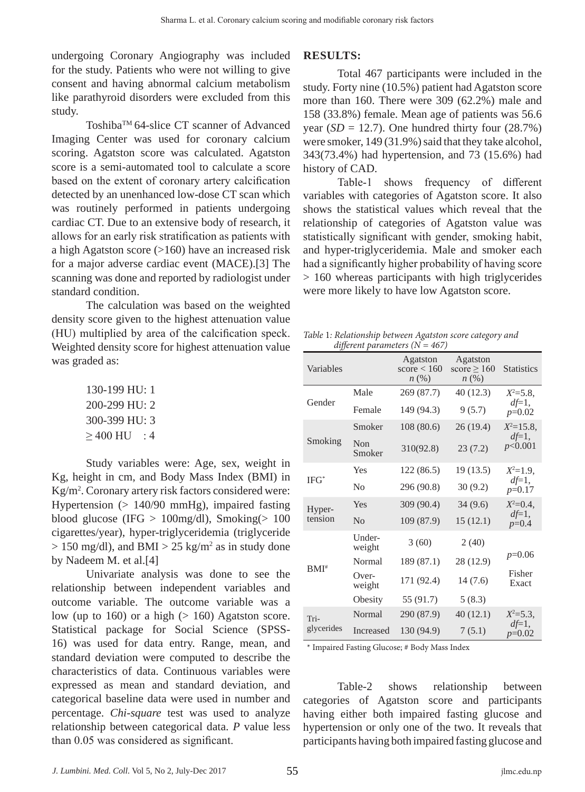undergoing Coronary Angiography was included for the study. Patients who were not willing to give consent and having abnormal calcium metabolism like parathyroid disorders were excluded from this study.

Toshiba™ 64-slice CT scanner of Advanced Imaging Center was used for coronary calcium scoring. Agatston score was calculated. Agatston score is a semi-automated tool to calculate a score based on the extent of coronary artery calcification detected by an unenhanced low-dose CT scan which was routinely performed in patients undergoing cardiac CT. Due to an extensive body of research, it allows for an early risk stratification as patients with a high Agatston score (>160) have an increased risk for a major adverse cardiac event (MACE).[3] The scanning was done and reported by radiologist under standard condition.

The calculation was based on the weighted density score given to the highest attenuation value (HU) multiplied by area of the calcification speck. Weighted density score for highest attenuation value was graded as:

> 130-199 HU: 1 200-299 HU: 2 300-399 HU: 3  $\geq$  400 HU : 4

Study variables were: Age, sex, weight in Kg, height in cm, and Body Mass Index (BMI) in Kg/m2 . Coronary artery risk factors considered were: Hypertension (> 140/90 mmHg), impaired fasting blood glucose (IFG  $> 100$ mg/dl), Smoking( $> 100$ cigarettes/year), hyper-triglyceridemia (triglyceride  $> 150 \text{ mg/dl}$ , and BMI  $> 25 \text{ kg/m}^2$  as in study done by Nadeem M. et al.[4]

Univariate analysis was done to see the relationship between independent variables and outcome variable. The outcome variable was a low (up to 160) or a high  $(> 160)$  Agatston score. Statistical package for Social Science (SPSS-16) was used for data entry. Range, mean, and standard deviation were computed to describe the characteristics of data. Continuous variables were expressed as mean and standard deviation, and categorical baseline data were used in number and percentage. *Chi-square* test was used to analyze relationship between categorical data. *P* value less than 0.05 was considered as significant.

# **RESULTS:**

Total 467 participants were included in the study. Forty nine (10.5%) patient had Agatston score more than 160. There were 309 (62.2%) male and 158 (33.8%) female. Mean age of patients was 56.6 year  $(SD = 12.7)$ . One hundred thirty four  $(28.7%)$ were smoker, 149 (31.9%) said that they take alcohol, 343(73.4%) had hypertension, and 73 (15.6%) had history of CAD.

Table-1 shows frequency of different variables with categories of Agatston score. It also shows the statistical values which reveal that the relationship of categories of Agatston value was statistically significant with gender, smoking habit, and hyper-triglyceridemia. Male and smoker each had a significantly higher probability of having score > 160 whereas participants with high triglycerides were more likely to have low Agatston score.

*Table* 1*: Relationship between Agatston score category and different parameters (N = 467)*

| Variables          |                  | Agatston<br>score $< 160$<br>$n\left(\%\right)$ | Agatston<br>score $\geq 160$<br>n(%) | <b>Statistics</b>    |
|--------------------|------------------|-------------------------------------------------|--------------------------------------|----------------------|
| Gender             | Male             | 269 (87.7)                                      | 40 (12.3)                            | $X^2 = 5.8$ ,        |
|                    | Female           | 149 (94.3)                                      | 9(5.7)                               | $df=1$ ,<br>$p=0.02$ |
| Smoking            | Smoker           | 108 (80.6)                                      | 26(19.4)                             | $X^2 = 15.8$ ,       |
|                    | Non<br>Smoker    | 310(92.8)                                       | 23(7.2)                              | $df=1,$<br>p<0.001   |
| $IFG^*$            | Yes              | 122 (86.5)                                      | 19(13.5)                             | $X^2=1.9$ ,          |
|                    | N <sub>0</sub>   | 296 (90.8)                                      | 30(9.2)                              | $df=1$ ,<br>$p=0.17$ |
| Hyper-<br>tension  | Yes              | 309 (90.4)                                      | 34(9.6)                              | $X^2=0.4$ ,          |
|                    | N <sub>0</sub>   | 109 (87.9)                                      | 15(12.1)                             | $df=1,$<br>$p=0.4$   |
| $BMI^*$            | Under-<br>weight | 3(60)                                           | 2(40)                                |                      |
|                    | Normal           | 189 (87.1)                                      | 28 (12.9)                            | $p=0.06$             |
|                    | Over-<br>weight  | 171 (92.4)                                      | 14 (7.6)                             | Fisher<br>Exact      |
|                    | Obesity          | 55 (91.7)                                       | 5(8.3)                               |                      |
| Tri-<br>glycerides | <b>Normal</b>    | 290 (87.9)                                      | 40(12.1)                             | $X^2 = 5.3$ ,        |
|                    | Increased        | 130 (94.9)                                      | 7(5.1)                               | $df=1,$<br>$p=0.02$  |

\* Impaired Fasting Glucose; # Body Mass Index

Table-2 shows relationship between categories of Agatston score and participants having either both impaired fasting glucose and hypertension or only one of the two. It reveals that participants having both impaired fasting glucose and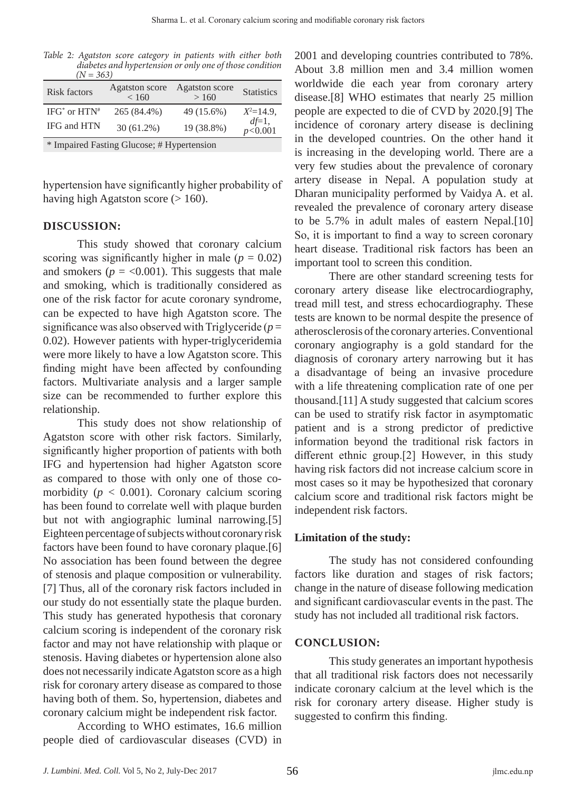*Table* 2*: Agatston score category in patients with either both diabetes and hypertension or only one of those condition*  $(N - 363)$ 

| Risk factors       | <b>Agatston</b> score<br>< 160 | <b>Agatston</b> score<br>>160 | <b>Statistics</b>    |
|--------------------|--------------------------------|-------------------------------|----------------------|
| $IFG^*$ or $HTN^*$ | 265 (84.4%)                    | 49 (15.6%)                    | $X^2=14.9$ .         |
| IFG and HTN        | $30(61.2\%)$                   | 19 (38.8%)                    | $df=1,$<br>p < 0.001 |

\* Impaired Fasting Glucose; # Hypertension

hypertension have significantly higher probability of having high Agatston score  $(>160)$ .

### **DISCUSSION:**

This study showed that coronary calcium scoring was significantly higher in male  $(p = 0.02)$ and smokers ( $p = < 0.001$ ). This suggests that male and smoking, which is traditionally considered as one of the risk factor for acute coronary syndrome, can be expected to have high Agatston score. The significance was also observed with Triglyceride  $(p =$ 0.02). However patients with hyper-triglyceridemia were more likely to have a low Agatston score. This finding might have been affected by confounding factors. Multivariate analysis and a larger sample size can be recommended to further explore this relationship.

This study does not show relationship of Agatston score with other risk factors. Similarly, significantly higher proportion of patients with both IFG and hypertension had higher Agatston score as compared to those with only one of those comorbidity ( $p < 0.001$ ). Coronary calcium scoring has been found to correlate well with plaque burden but not with angiographic luminal narrowing.[5] Eighteen percentage of subjects without coronary risk factors have been found to have coronary plaque.[6] No association has been found between the degree of stenosis and plaque composition or vulnerability. [7] Thus, all of the coronary risk factors included in our study do not essentially state the plaque burden. This study has generated hypothesis that coronary calcium scoring is independent of the coronary risk factor and may not have relationship with plaque or stenosis. Having diabetes or hypertension alone also does not necessarily indicate Agatston score as a high risk for coronary artery disease as compared to those having both of them. So, hypertension, diabetes and coronary calcium might be independent risk factor.

According to WHO estimates, 16.6 million people died of cardiovascular diseases (CVD) in 2001 and developing countries contributed to 78%. About 3.8 million men and 3.4 million women worldwide die each year from coronary artery disease.[8] WHO estimates that nearly 25 million people are expected to die of CVD by 2020.[9] The incidence of coronary artery disease is declining in the developed countries. On the other hand it is increasing in the developing world. There are a very few studies about the prevalence of coronary artery disease in Nepal. A population study at Dharan municipality performed by Vaidya A. et al. revealed the prevalence of coronary artery disease to be 5.7% in adult males of eastern Nepal.[10] So, it is important to find a way to screen coronary heart disease. Traditional risk factors has been an important tool to screen this condition.

There are other standard screening tests for coronary artery disease like electrocardiography, tread mill test, and stress echocardiography. These tests are known to be normal despite the presence of atherosclerosis of the coronary arteries. Conventional coronary angiography is a gold standard for the diagnosis of coronary artery narrowing but it has a disadvantage of being an invasive procedure with a life threatening complication rate of one per thousand.[11] A study suggested that calcium scores can be used to stratify risk factor in asymptomatic patient and is a strong predictor of predictive information beyond the traditional risk factors in different ethnic group.[2] However, in this study having risk factors did not increase calcium score in most cases so it may be hypothesized that coronary calcium score and traditional risk factors might be independent risk factors.

# **Limitation of the study:**

The study has not considered confounding factors like duration and stages of risk factors; change in the nature of disease following medication and significant cardiovascular events in the past. The study has not included all traditional risk factors.

# **CONCLUSION:**

This study generates an important hypothesis that all traditional risk factors does not necessarily indicate coronary calcium at the level which is the risk for coronary artery disease. Higher study is suggested to confirm this finding.